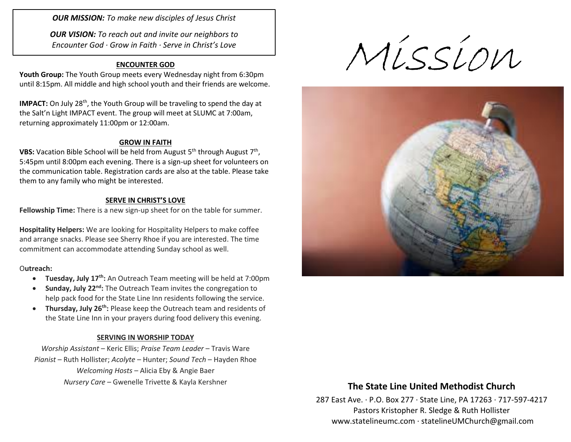*OUR MISSION: To make new disciples of Jesus Christ*

*OUR VISION: To reach out and invite our neighbors to Encounter God · Grow in Faith · Serve in Christ's Love*

## **ENCOUNTER GOD**

**Youth Group:** The Youth Group meets every Wednesday night from 6:30pm until 8:15pm. All middle and high school youth and their friends are welcome.

**IMPACT:** On July 28<sup>th</sup>, the Youth Group will be traveling to spend the day at the Salt'n Light IMPACT event. The group will meet at SLUMC at 7:00am, returning approximately 11:00pm or 12:00am.

## **GROW IN FAITH**

**VBS:** Vacation Bible School will be held from August 5<sup>th</sup> through August 7<sup>th</sup>, 5:45pm until 8:00pm each evening. There is a sign-up sheet for volunteers on the communication table. Registration cards are also at the table. Please take them to any family who might be interested.

#### **SERVE IN CHRIST'S LOVE**

**Fellowship Time:** There is a new sign-up sheet for on the table for summer.

**Hospitality Helpers:** We are looking for Hospitality Helpers to make coffee and arrange snacks. Please see Sherry Rhoe if you are interested. The time commitment can accommodate attending Sunday school as well.

## O**utreach:**

- **Tuesday, July 17<sup>th</sup>:** An Outreach Team meeting will be held at 7:00pm
- **Sunday, July 22<sup>nd</sup>**: The Outreach Team invites the congregation to help pack food for the State Line Inn residents following the service.
- **Thursday, July 26th:** Please keep the Outreach team and residents of the State Line Inn in your prayers during food delivery this evening.

## **SERVING IN WORSHIP TODAY**

*Worship Assistant* – Keric Ellis; *Praise Team Leader* – Travis Ware *Pianist* – Ruth Hollister; *Acolyte* – Hunter; *Sound Tech* – Hayden Rhoe *Welcoming Hosts* – Alicia Eby & Angie Baer *Nursery Care* – Gwenelle Trivette & Kayla Kershner **The State Line United Methodist Church**

Mission



287 East Ave. · P.O. Box 277 · State Line, PA 17263 · 717-597-4217 Pastors Kristopher R. Sledge & Ruth Hollister [www.statelineumc.com](http://www.statelineumc.com/) · statelineUMChurch@gmail.com